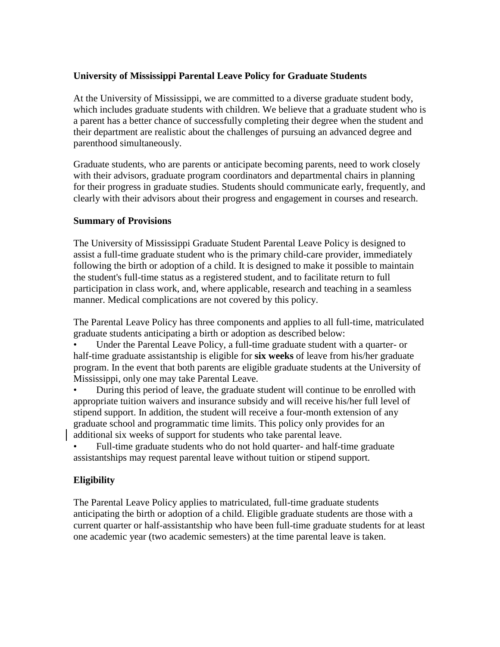## **University of Mississippi Parental Leave Policy for Graduate Students**

At the University of Mississippi, we are committed to a diverse graduate student body, which includes graduate students with children. We believe that a graduate student who is a parent has a better chance of successfully completing their degree when the student and their department are realistic about the challenges of pursuing an advanced degree and parenthood simultaneously.

Graduate students, who are parents or anticipate becoming parents, need to work closely with their advisors, graduate program coordinators and departmental chairs in planning for their progress in graduate studies. Students should communicate early, frequently, and clearly with their advisors about their progress and engagement in courses and research.

#### **Summary of Provisions**

The University of Mississippi Graduate Student Parental Leave Policy is designed to assist a full-time graduate student who is the primary child-care provider, immediately following the birth or adoption of a child. It is designed to make it possible to maintain the student's full-time status as a registered student, and to facilitate return to full participation in class work, and, where applicable, research and teaching in a seamless manner. Medical complications are not covered by this policy.

The Parental Leave Policy has three components and applies to all full-time, matriculated graduate students anticipating a birth or adoption as described below:

• Under the Parental Leave Policy, a full-time graduate student with a quarter- or half-time graduate assistantship is eligible for **six weeks** of leave from his/her graduate program. In the event that both parents are eligible graduate students at the University of Mississippi, only one may take Parental Leave.

• During this period of leave, the graduate student will continue to be enrolled with appropriate tuition waivers and insurance subsidy and will receive his/her full level of stipend support. In addition, the student will receive a four-month extension of any graduate school and programmatic time limits. This policy only provides for an additional six weeks of support for students who take parental leave.

• Full-time graduate students who do not hold quarter- and half-time graduate assistantships may request parental leave without tuition or stipend support.

# **Eligibility**

The Parental Leave Policy applies to matriculated, full-time graduate students anticipating the birth or adoption of a child. Eligible graduate students are those with a current quarter or half-assistantship who have been full-time graduate students for at least one academic year (two academic semesters) at the time parental leave is taken.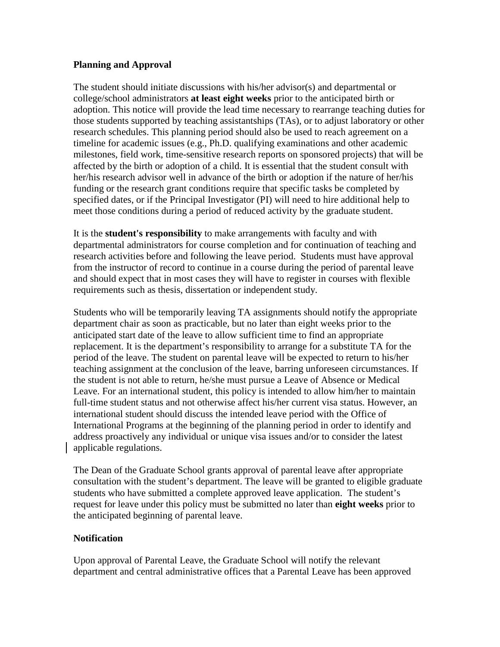#### **Planning and Approval**

The student should initiate discussions with his/her advisor(s) and departmental or college/school administrators **at least eight weeks** prior to the anticipated birth or adoption. This notice will provide the lead time necessary to rearrange teaching duties for those students supported by teaching assistantships (TAs), or to adjust laboratory or other research schedules. This planning period should also be used to reach agreement on a timeline for academic issues (e.g., Ph.D. qualifying examinations and other academic milestones, field work, time-sensitive research reports on sponsored projects) that will be affected by the birth or adoption of a child. It is essential that the student consult with her/his research advisor well in advance of the birth or adoption if the nature of her/his funding or the research grant conditions require that specific tasks be completed by specified dates, or if the Principal Investigator (PI) will need to hire additional help to meet those conditions during a period of reduced activity by the graduate student.

It is the **student's responsibility** to make arrangements with faculty and with departmental administrators for course completion and for continuation of teaching and research activities before and following the leave period. Students must have approval from the instructor of record to continue in a course during the period of parental leave and should expect that in most cases they will have to register in courses with flexible requirements such as thesis, dissertation or independent study.

Students who will be temporarily leaving TA assignments should notify the appropriate department chair as soon as practicable, but no later than eight weeks prior to the anticipated start date of the leave to allow sufficient time to find an appropriate replacement. It is the department's responsibility to arrange for a substitute TA for the period of the leave. The student on parental leave will be expected to return to his/her teaching assignment at the conclusion of the leave, barring unforeseen circumstances. If the student is not able to return, he/she must pursue a Leave of Absence or Medical Leave. For an international student, this policy is intended to allow him/her to maintain full-time student status and not otherwise affect his/her current visa status. However, an international student should discuss the intended leave period with the Office of International Programs at the beginning of the planning period in order to identify and address proactively any individual or unique visa issues and/or to consider the latest applicable regulations.

The Dean of the Graduate School grants approval of parental leave after appropriate consultation with the student's department. The leave will be granted to eligible graduate students who have submitted a complete approved leave application. The student's request for leave under this policy must be submitted no later than **eight weeks** prior to the anticipated beginning of parental leave.

## **Notification**

Upon approval of Parental Leave, the Graduate School will notify the relevant department and central administrative offices that a Parental Leave has been approved